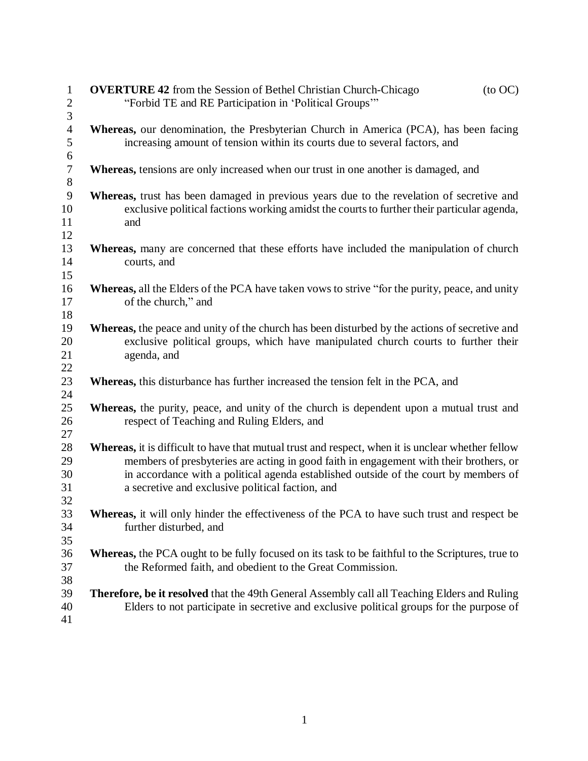| $\mathbf{1}$     | <b>OVERTURE 42</b> from the Session of Bethel Christian Church-Chicago<br>$($ to OC $)$               |
|------------------|-------------------------------------------------------------------------------------------------------|
| $\boldsymbol{2}$ | "Forbid TE and RE Participation in 'Political Groups'"                                                |
| 3                |                                                                                                       |
| $\overline{4}$   | Whereas, our denomination, the Presbyterian Church in America (PCA), has been facing                  |
| 5<br>6           | increasing amount of tension within its courts due to several factors, and                            |
| $\tau$           | Whereas, tensions are only increased when our trust in one another is damaged, and                    |
| $8\,$            |                                                                                                       |
| 9                | Whereas, trust has been damaged in previous years due to the revelation of secretive and              |
| 10               | exclusive political factions working amidst the courts to further their particular agenda,            |
| 11               | and                                                                                                   |
| 12               |                                                                                                       |
| 13               | <b>Whereas,</b> many are concerned that these efforts have included the manipulation of church        |
| 14               | courts, and                                                                                           |
| 15               |                                                                                                       |
| 16               | <b>Whereas,</b> all the Elders of the PCA have taken vows to strive "for the purity, peace, and unity |
| 17               | of the church," and                                                                                   |
| 18               |                                                                                                       |
| 19               | <b>Whereas,</b> the peace and unity of the church has been disturbed by the actions of secretive and  |
| 20               | exclusive political groups, which have manipulated church courts to further their                     |
| 21               | agenda, and                                                                                           |
| 22               |                                                                                                       |
| 23               | Whereas, this disturbance has further increased the tension felt in the PCA, and                      |
| 24               |                                                                                                       |
| 25               | Whereas, the purity, peace, and unity of the church is dependent upon a mutual trust and              |
| 26               | respect of Teaching and Ruling Elders, and                                                            |
| 27               |                                                                                                       |
| 28               | Whereas, it is difficult to have that mutual trust and respect, when it is unclear whether fellow     |
| 29               | members of presbyteries are acting in good faith in engagement with their brothers, or                |
| 30               | in accordance with a political agenda established outside of the court by members of                  |
| 31               | a secretive and exclusive political faction, and                                                      |
| 32               |                                                                                                       |
| 33               | Whereas, it will only hinder the effectiveness of the PCA to have such trust and respect be           |
| 34               | further disturbed, and                                                                                |
| 35               |                                                                                                       |
| 36               | Whereas, the PCA ought to be fully focused on its task to be faithful to the Scriptures, true to      |
| 37               | the Reformed faith, and obedient to the Great Commission.                                             |
| 38               |                                                                                                       |
| 39               | <b>Therefore, be it resolved</b> that the 49th General Assembly call all Teaching Elders and Ruling   |
| 40               | Elders to not participate in secretive and exclusive political groups for the purpose of              |
| 41               |                                                                                                       |